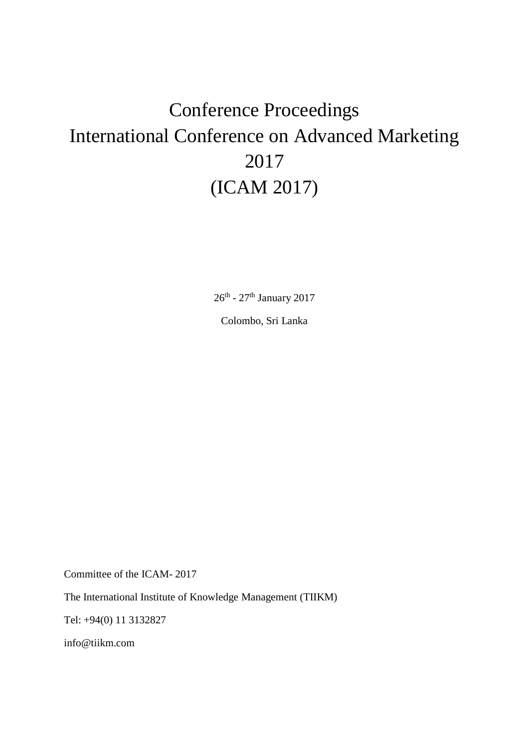# Conference Proceedings International Conference on Advanced Marketing 2017 (ICAM 2017)

 $26^{\text{th}}$  -  $27^{\text{th}}$  January 2017

Colombo, Sri Lanka

Committee of the ICAM- 2017

The International Institute of Knowledge Management (TIIKM)

Tel: +94(0) 11 3132827

info@tiikm.com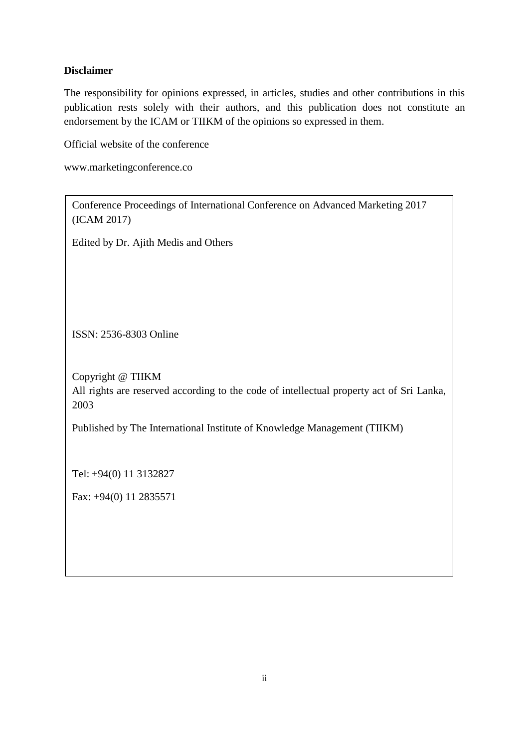# **Disclaimer**

The responsibility for opinions expressed, in articles, studies and other contributions in this publication rests solely with their authors, and this publication does not constitute an endorsement by the ICAM or TIIKM of the opinions so expressed in them.

Official website of the conference

www.marketingconference.co

Conference Proceedings of International Conference on Advanced Marketing 2017 (ICAM 2017)

Edited by Dr. Ajith Medis and Others

ISSN: 2536-8303 Online

Copyright @ TIIKM All rights are reserved according to the code of intellectual property act of Sri Lanka, 2003

Published by The International Institute of Knowledge Management (TIIKM)

Tel: +94(0) 11 3132827

Fax: +94(0) 11 2835571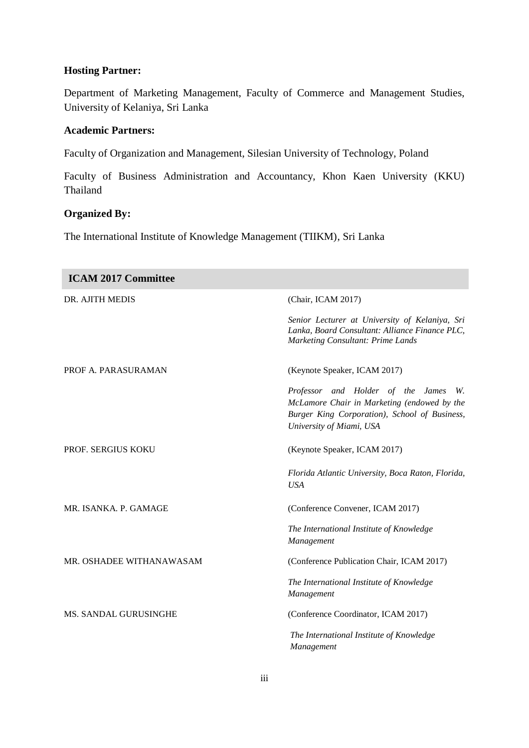# **Hosting Partner:**

Department of Marketing Management, Faculty of Commerce and Management Studies, University of Kelaniya, Sri Lanka

# **Academic Partners:**

Faculty of Organization and Management, Silesian University of Technology, Poland

Faculty of Business Administration and Accountancy, Khon Kaen University (KKU) Thailand

# **Organized By:**

The International Institute of Knowledge Management (TIIKM), Sri Lanka

| <b>ICAM 2017 Committee</b> |                                                                                                                                                                     |
|----------------------------|---------------------------------------------------------------------------------------------------------------------------------------------------------------------|
| DR. AJITH MEDIS            | (Chair, ICAM 2017)                                                                                                                                                  |
|                            | Senior Lecturer at University of Kelaniya, Sri<br>Lanka, Board Consultant: Alliance Finance PLC,<br>Marketing Consultant: Prime Lands                               |
| PROF A. PARASURAMAN        | (Keynote Speaker, ICAM 2017)                                                                                                                                        |
|                            | Professor and Holder of the James<br>W.<br>McLamore Chair in Marketing (endowed by the<br>Burger King Corporation), School of Business,<br>University of Miami, USA |
| PROF. SERGIUS KOKU         | (Keynote Speaker, ICAM 2017)                                                                                                                                        |
|                            | Florida Atlantic University, Boca Raton, Florida,<br><b>USA</b>                                                                                                     |
| MR. ISANKA. P. GAMAGE      | (Conference Convener, ICAM 2017)                                                                                                                                    |
|                            | The International Institute of Knowledge<br>Management                                                                                                              |
| MR. OSHADEE WITHANAWASAM   | (Conference Publication Chair, ICAM 2017)                                                                                                                           |
|                            | The International Institute of Knowledge<br>Management                                                                                                              |
| MS. SANDAL GURUSINGHE      | (Conference Coordinator, ICAM 2017)                                                                                                                                 |
|                            | The International Institute of Knowledge<br>Management                                                                                                              |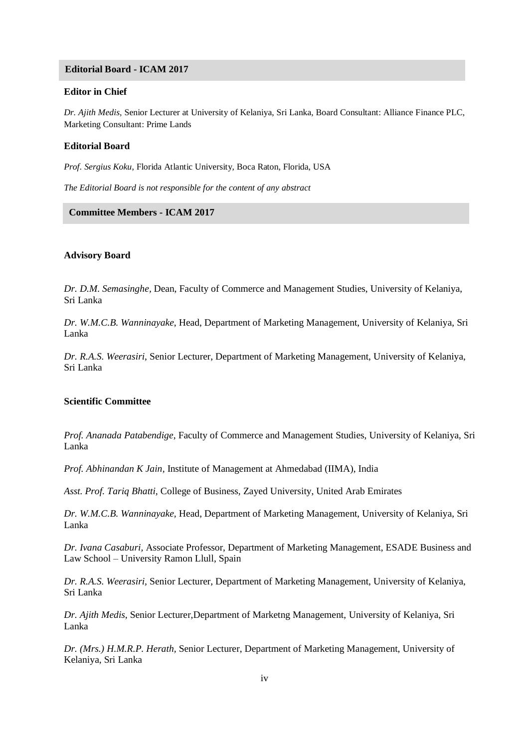### **Editorial Board-ICOM 2013 Editorial Board - ICAM 2017**

# **Editor in Chief**

*Dr. Ajith Medis,* Senior Lecturer at University of Kelaniya, Sri Lanka, Board Consultant: Alliance Finance PLC, Marketing Consultant: Prime Lands

### **Editorial Board**

*Prof. Sergius Koku*, Florida Atlantic University, Boca Raton, Florida, USA

*The Editorial Board is not responsible for the content of any abstract*

# **Committee Members - ICAM 2017**

#### **Advisory Board**

*Dr. D.M. Semasinghe,* Dean, Faculty of Commerce and Management Studies, University of Kelaniya, Sri Lanka

*Dr. W.M.C.B. Wanninayake*, Head, Department of Marketing Management, University of Kelaniya, Sri Lanka

*Dr. R.A.S. Weerasiri*, Senior Lecturer, Department of Marketing Management, University of Kelaniya, Sri Lanka

#### **Scientific Committee**

*Prof. Ananada Patabendige*, Faculty of Commerce and Management Studies, University of Kelaniya, Sri Lanka

*Prof. Abhinandan K Jain,* Institute of Management at Ahmedabad (IIMA), India

*Asst. Prof. Tariq Bhatti,* College of Business, Zayed University, United Arab Emirates

*Dr. W.M.C.B. Wanninayake,* Head, Department of Marketing Management, University of Kelaniya, Sri Lanka

*Dr. Ivana Casaburi,* Associate Professor, Department of Marketing Management, ESADE Business and Law School – University Ramon Llull, Spain

*Dr. R.A.S. Weerasiri,* Senior Lecturer, Department of Marketing Management, University of Kelaniya, Sri Lanka

*Dr. Ajith Medis*, Senior Lecturer,Department of Marketng Management, University of Kelaniya, Sri Lanka

*Dr. (Mrs.) H.M.R.P. Herath,* Senior Lecturer, Department of Marketing Management, University of Kelaniya, Sri Lanka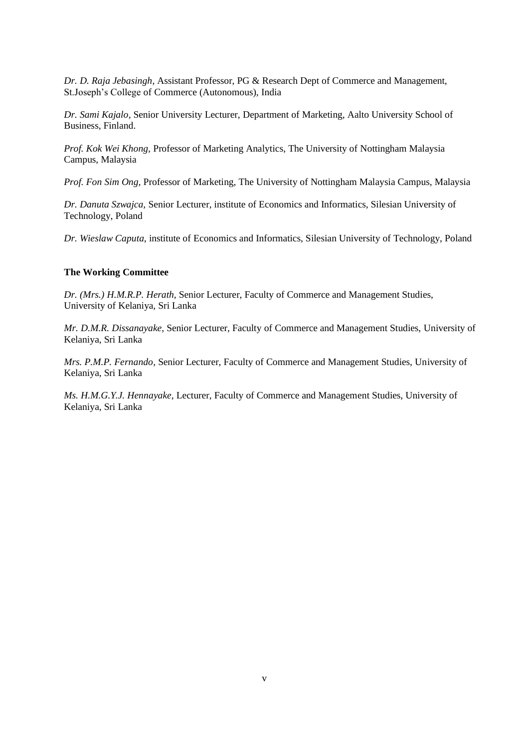*Dr. D. Raja Jebasingh,* Assistant Professor, PG & Research Dept of Commerce and Management, St.Joseph's College of Commerce (Autonomous), India

*Dr. Sami Kajalo,* Senior University Lecturer, Department of Marketing, Aalto University School of Business, Finland.

*Prof. Kok Wei Khong,* Professor of Marketing Analytics, The University of Nottingham Malaysia Campus, Malaysia

*Prof. Fon Sim Ong,* Professor of Marketing, The University of Nottingham Malaysia Campus, Malaysia

*Dr. Danuta Szwajca,* Senior Lecturer, institute of Economics and Informatics, Silesian University of Technology, Poland

*Dr. Wieslaw Caputa,* institute of Economics and Informatics, Silesian University of Technology, Poland

#### **The Working Committee**

*Dr. (Mrs.) H.M.R.P. Herath*, Senior Lecturer, Faculty of Commerce and Management Studies, University of Kelaniya, Sri Lanka

*Mr. D.M.R. Dissanayake,* Senior Lecturer, Faculty of Commerce and Management Studies, University of Kelaniya, Sri Lanka

*Mrs. P.M.P. Fernando,* Senior Lecturer, Faculty of Commerce and Management Studies, University of Kelaniya, Sri Lanka

*Ms. H.M.G.Y.J. Hennayake,* Lecturer, Faculty of Commerce and Management Studies, University of Kelaniya, Sri Lanka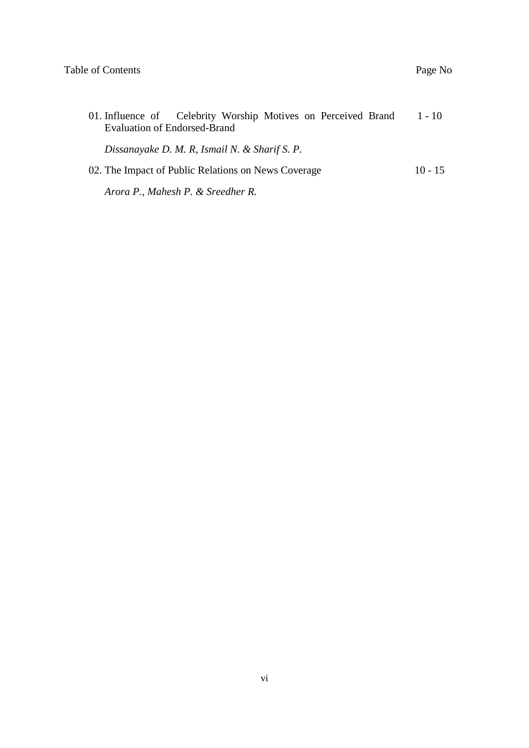| 01. Influence of Celebrity Worship Motives on Perceived Brand 1 - 10<br><b>Evaluation of Endorsed-Brand</b> |           |
|-------------------------------------------------------------------------------------------------------------|-----------|
| Dissanayake D. M. R. Ismail N. & Sharif S. P.                                                               |           |
| 02. The Impact of Public Relations on News Coverage                                                         | $10 - 15$ |
| Arora P., Mahesh P. & Sreedher R.                                                                           |           |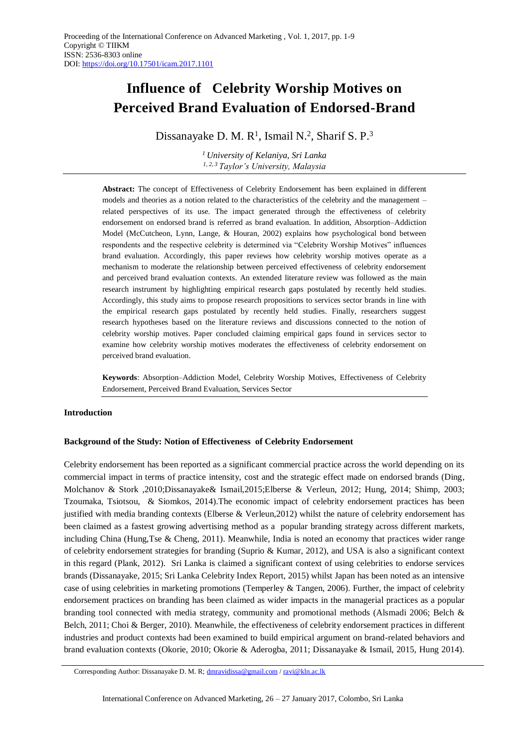# **Influence of Celebrity Worship Motives on Perceived Brand Evaluation of Endorsed-Brand**

Dissanayake D. M. R<sup>1</sup>, Ismail N.<sup>2</sup>, Sharif S. P.<sup>3</sup>

*<sup>1</sup> University of Kelaniya, Sri Lanka 1, 2, 3Taylor's University, Malaysia* 

**Abstract:** The concept of Effectiveness of Celebrity Endorsement has been explained in different models and theories as a notion related to the characteristics of the celebrity and the management – related perspectives of its use. The impact generated through the effectiveness of celebrity endorsement on endorsed brand is referred as brand evaluation. In addition, Absorption–Addiction Model (McCutcheon, Lynn, Lange, & Houran, 2002) explains how psychological bond between respondents and the respective celebrity is determined via "Celebrity Worship Motives" influences brand evaluation. Accordingly, this paper reviews how celebrity worship motives operate as a mechanism to moderate the relationship between perceived effectiveness of celebrity endorsement and perceived brand evaluation contexts. An extended literature review was followed as the main research instrument by highlighting empirical research gaps postulated by recently held studies. Accordingly, this study aims to propose research propositions to services sector brands in line with the empirical research gaps postulated by recently held studies. Finally, researchers suggest research hypotheses based on the literature reviews and discussions connected to the notion of celebrity worship motives. Paper concluded claiming empirical gaps found in services sector to examine how celebrity worship motives moderates the effectiveness of celebrity endorsement on perceived brand evaluation.

**Keywords**: Absorption–Addiction Model, Celebrity Worship Motives, Effectiveness of Celebrity Endorsement, Perceived Brand Evaluation, Services Sector

#### **Introduction**

#### **Background of the Study: Notion of Effectiveness of Celebrity Endorsement**

Celebrity endorsement has been reported as a significant commercial practice across the world depending on its commercial impact in terms of practice intensity, cost and the strategic effect made on endorsed brands (Ding, Molchanov & Stork ,2010;Dissanayake& Ismail,2015;Elberse & Verleun, 2012; Hung, 2014; Shimp, 2003; Tzoumaka, Tsiotsou, & Siomkos, 2014).The economic impact of celebrity endorsement practices has been justified with media branding contexts (Elberse & Verleun,2012) whilst the nature of celebrity endorsement has been claimed as a fastest growing advertising method as a popular branding strategy across different markets, including China (Hung,Tse & Cheng, 2011). Meanwhile, India is noted an economy that practices wider range of celebrity endorsement strategies for branding (Suprio & Kumar, 2012), and USA is also a significant context in this regard (Plank, 2012). Sri Lanka is claimed a significant context of using celebrities to endorse services brands (Dissanayake, 2015; Sri Lanka Celebrity Index Report, 2015) whilst Japan has been noted as an intensive case of using celebrities in marketing promotions (Temperley & Tangen, 2006). Further, the impact of celebrity endorsement practices on branding has been claimed as wider impacts in the managerial practices as a popular branding tool connected with media strategy, community and promotional methods (Alsmadi 2006; Belch & Belch, 2011; Choi & Berger, 2010). Meanwhile, the effectiveness of celebrity endorsement practices in different industries and product contexts had been examined to build empirical argument on brand-related behaviors and brand evaluation contexts (Okorie, 2010; Okorie & Aderogba, 2011; Dissanayake & Ismail, 2015, Hung 2014).

Corresponding Author: Dissanayake D. M. R; [dmravidissa@gmail.com](mailto:dmravidissa@gmail.com) / [ravi@kln.ac.lk](mailto:ravi@kln.ac.lk)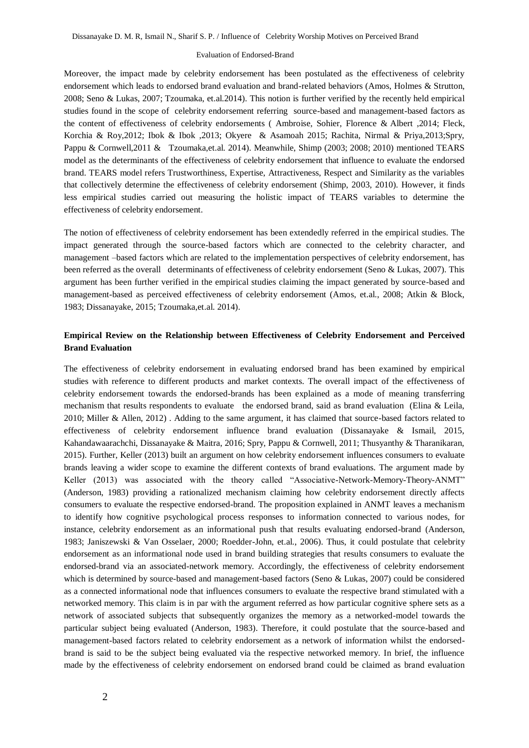#### Evaluation of Endorsed-Brand

Moreover, the impact made by celebrity endorsement has been postulated as the effectiveness of celebrity endorsement which leads to endorsed brand evaluation and brand-related behaviors (Amos, Holmes & Strutton, 2008; Seno & Lukas, 2007; Tzoumaka, et.al.2014). This notion is further verified by the recently held empirical studies found in the scope of celebrity endorsement referring source-based and management-based factors as the content of effectiveness of celebrity endorsements ( Ambroise, Sohier, Florence & Albert ,2014; Fleck, Korchia & Roy,2012; Ibok & Ibok ,2013; Okyere & Asamoah 2015; Rachita, Nirmal & Priya,2013;Spry, Pappu & Cornwell,2011 & Tzoumaka,et.al. 2014). Meanwhile, Shimp (2003; 2008; 2010) mentioned TEARS model as the determinants of the effectiveness of celebrity endorsement that influence to evaluate the endorsed brand. TEARS model refers Trustworthiness, Expertise, Attractiveness, Respect and Similarity as the variables that collectively determine the effectiveness of celebrity endorsement (Shimp, 2003, 2010). However, it finds less empirical studies carried out measuring the holistic impact of TEARS variables to determine the effectiveness of celebrity endorsement.

The notion of effectiveness of celebrity endorsement has been extendedly referred in the empirical studies. The impact generated through the source-based factors which are connected to the celebrity character, and management –based factors which are related to the implementation perspectives of celebrity endorsement, has been referred as the overall determinants of effectiveness of celebrity endorsement (Seno & Lukas, 2007). This argument has been further verified in the empirical studies claiming the impact generated by source-based and management-based as perceived effectiveness of celebrity endorsement (Amos, et.al., 2008; Atkin & Block, 1983; Dissanayake, 2015; Tzoumaka,et.al. 2014).

## **Empirical Review on the Relationship between Effectiveness of Celebrity Endorsement and Perceived Brand Evaluation**

The effectiveness of celebrity endorsement in evaluating endorsed brand has been examined by empirical studies with reference to different products and market contexts. The overall impact of the effectiveness of celebrity endorsement towards the endorsed-brands has been explained as a mode of meaning transferring mechanism that results respondents to evaluate the endorsed brand, said as brand evaluation (Elina & Leila, 2010; Miller & Allen, 2012) . Adding to the same argument, it has claimed that source-based factors related to effectiveness of celebrity endorsement influence brand evaluation (Dissanayake & Ismail, 2015, Kahandawaarachchi, Dissanayake & Maitra, 2016; Spry, Pappu & Cornwell, 2011; Thusyanthy & Tharanikaran, 2015). Further, Keller (2013) built an argument on how celebrity endorsement influences consumers to evaluate brands leaving a wider scope to examine the different contexts of brand evaluations. The argument made by Keller (2013) was associated with the theory called "Associative-Network-Memory-Theory-ANMT" (Anderson, 1983) providing a rationalized mechanism claiming how celebrity endorsement directly affects consumers to evaluate the respective endorsed-brand. The proposition explained in ANMT leaves a mechanism to identify how cognitive psychological process responses to information connected to various nodes, for instance, celebrity endorsement as an informational push that results evaluating endorsed-brand (Anderson, 1983; Janiszewski & Van Osselaer, 2000; Roedder-John, et.al., 2006). Thus, it could postulate that celebrity endorsement as an informational node used in brand building strategies that results consumers to evaluate the endorsed-brand via an associated-network memory. Accordingly, the effectiveness of celebrity endorsement which is determined by source-based and management-based factors (Seno & Lukas, 2007) could be considered as a connected informational node that influences consumers to evaluate the respective brand stimulated with a networked memory. This claim is in par with the argument referred as how particular cognitive sphere sets as a network of associated subjects that subsequently organizes the memory as a networked-model towards the particular subject being evaluated (Anderson, 1983). Therefore, it could postulate that the source-based and management-based factors related to celebrity endorsement as a network of information whilst the endorsedbrand is said to be the subject being evaluated via the respective networked memory. In brief, the influence made by the effectiveness of celebrity endorsement on endorsed brand could be claimed as brand evaluation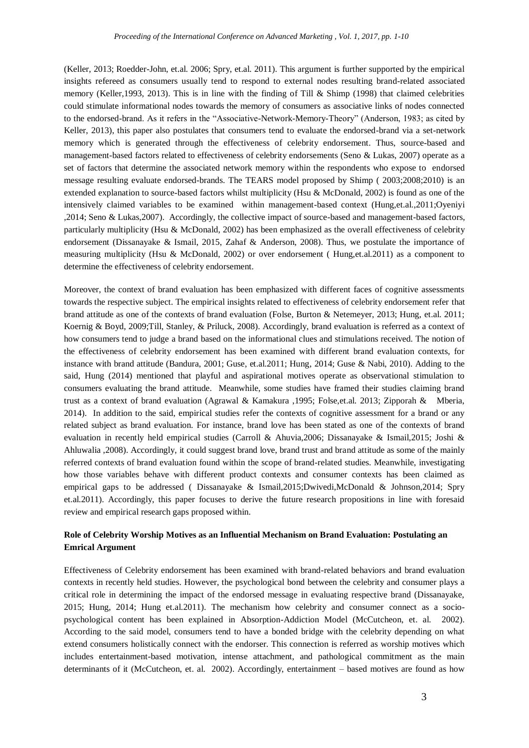(Keller, 2013; Roedder-John, et.al. 2006; Spry, et.al. 2011). This argument is further supported by the empirical insights refereed as consumers usually tend to respond to external nodes resulting brand-related associated memory (Keller, 1993, 2013). This is in line with the finding of Till  $&$  Shimp (1998) that claimed celebrities could stimulate informational nodes towards the memory of consumers as associative links of nodes connected to the endorsed-brand. As it refers in the "Associative-Network-Memory-Theory" (Anderson, 1983; as cited by Keller, 2013), this paper also postulates that consumers tend to evaluate the endorsed-brand via a set-network memory which is generated through the effectiveness of celebrity endorsement. Thus, source-based and management-based factors related to effectiveness of celebrity endorsements (Seno & Lukas, 2007) operate as a set of factors that determine the associated network memory within the respondents who expose to endorsed message resulting evaluate endorsed-brands. The TEARS model proposed by Shimp ( 2003;2008;2010) is an extended explanation to source-based factors whilst multiplicity (Hsu & McDonald, 2002) is found as one of the intensively claimed variables to be examined within management-based context (Hung,et.al.,2011;Oyeniyi ,2014; Seno & Lukas,2007). Accordingly, the collective impact of source-based and management-based factors, particularly multiplicity (Hsu & McDonald, 2002) has been emphasized as the overall effectiveness of celebrity endorsement (Dissanayake & Ismail, 2015, Zahaf & Anderson, 2008). Thus, we postulate the importance of measuring multiplicity (Hsu & McDonald, 2002) or over endorsement ( Hung,et.al.2011) as a component to determine the effectiveness of celebrity endorsement.

Moreover, the context of brand evaluation has been emphasized with different faces of cognitive assessments towards the respective subject. The empirical insights related to effectiveness of celebrity endorsement refer that brand attitude as one of the contexts of brand evaluation (Folse, Burton & Netemeyer, 2013; Hung, et.al. 2011; Koernig & Boyd, 2009;Till, Stanley, & Priluck, 2008). Accordingly, brand evaluation is referred as a context of how consumers tend to judge a brand based on the informational clues and stimulations received. The notion of the effectiveness of celebrity endorsement has been examined with different brand evaluation contexts, for instance with brand attitude (Bandura, 2001; Guse, et.al.2011; Hung, 2014; Guse & Nabi, 2010). Adding to the said, Hung (2014) mentioned that playful and aspirational motives operate as observational stimulation to consumers evaluating the brand attitude. Meanwhile, some studies have framed their studies claiming brand trust as a context of brand evaluation (Agrawal & Kamakura ,1995; Folse,et.al. 2013; Zipporah & Mberia, 2014). In addition to the said, empirical studies refer the contexts of cognitive assessment for a brand or any related subject as brand evaluation. For instance, brand love has been stated as one of the contexts of brand evaluation in recently held empirical studies (Carroll & Ahuvia,2006; Dissanayake & Ismail,2015; Joshi & Ahluwalia ,2008). Accordingly, it could suggest brand love, brand trust and brand attitude as some of the mainly referred contexts of brand evaluation found within the scope of brand-related studies. Meanwhile, investigating how those variables behave with different product contexts and consumer contexts has been claimed as empirical gaps to be addressed ( Dissanayake & Ismail,2015;Dwivedi,McDonald & Johnson,2014; Spry et.al.2011). Accordingly, this paper focuses to derive the future research propositions in line with foresaid review and empirical research gaps proposed within.

# **Role of Celebrity Worship Motives as an Influential Mechanism on Brand Evaluation: Postulating an Emrical Argument**

Effectiveness of Celebrity endorsement has been examined with brand-related behaviors and brand evaluation contexts in recently held studies. However, the psychological bond between the celebrity and consumer plays a critical role in determining the impact of the endorsed message in evaluating respective brand (Dissanayake, 2015; Hung, 2014; Hung et.al.2011). The mechanism how celebrity and consumer connect as a sociopsychological content has been explained in Absorption-Addiction Model (McCutcheon, et. al. 2002). According to the said model, consumers tend to have a bonded bridge with the celebrity depending on what extend consumers holistically connect with the endorser. This connection is referred as worship motives which includes entertainment-based motivation, intense attachment, and pathological commitment as the main determinants of it (McCutcheon, et. al. 2002). Accordingly, entertainment – based motives are found as how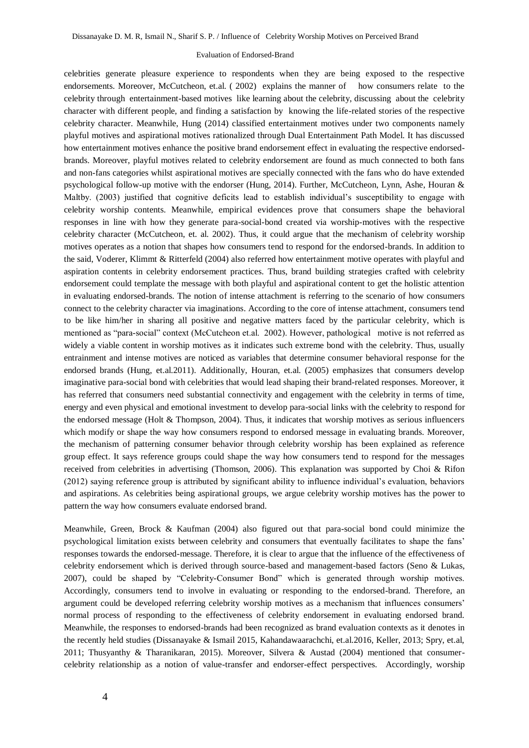#### Evaluation of Endorsed-Brand

celebrities generate pleasure experience to respondents when they are being exposed to the respective endorsements. Moreover, McCutcheon, et.al. ( 2002) explains the manner of how consumers relate to the celebrity through entertainment-based motives like learning about the celebrity, discussing about the celebrity character with different people, and finding a satisfaction by knowing the life-related stories of the respective celebrity character. Meanwhile, Hung (2014) classified entertainment motives under two components namely playful motives and aspirational motives rationalized through Dual Entertainment Path Model. It has discussed how entertainment motives enhance the positive brand endorsement effect in evaluating the respective endorsedbrands. Moreover, playful motives related to celebrity endorsement are found as much connected to both fans and non-fans categories whilst aspirational motives are specially connected with the fans who do have extended psychological follow-up motive with the endorser (Hung, 2014). Further, McCutcheon, Lynn, Ashe, Houran & Maltby. (2003) justified that cognitive deficits lead to establish individual's susceptibility to engage with celebrity worship contents. Meanwhile, empirical evidences prove that consumers shape the behavioral responses in line with how they generate para-social-bond created via worship-motives with the respective celebrity character (McCutcheon, et. al. 2002). Thus, it could argue that the mechanism of celebrity worship motives operates as a notion that shapes how consumers tend to respond for the endorsed-brands. In addition to the said, Voderer, Klimmt & Ritterfeld (2004) also referred how entertainment motive operates with playful and aspiration contents in celebrity endorsement practices. Thus, brand building strategies crafted with celebrity endorsement could template the message with both playful and aspirational content to get the holistic attention in evaluating endorsed-brands. The notion of intense attachment is referring to the scenario of how consumers connect to the celebrity character via imaginations. According to the core of intense attachment, consumers tend to be like him/her in sharing all positive and negative matters faced by the particular celebrity, which is mentioned as "para-social" context (McCutcheon et.al. 2002). However, pathological motive is not referred as widely a viable content in worship motives as it indicates such extreme bond with the celebrity. Thus, usually entrainment and intense motives are noticed as variables that determine consumer behavioral response for the endorsed brands (Hung, et.al.2011). Additionally, Houran, et.al. (2005) emphasizes that consumers develop imaginative para-social bond with celebrities that would lead shaping their brand-related responses. Moreover, it has referred that consumers need substantial connectivity and engagement with the celebrity in terms of time, energy and even physical and emotional investment to develop para-social links with the celebrity to respond for the endorsed message (Holt & Thompson, 2004). Thus, it indicates that worship motives as serious influencers which modify or shape the way how consumers respond to endorsed message in evaluating brands. Moreover, the mechanism of patterning consumer behavior through celebrity worship has been explained as reference group effect. It says reference groups could shape the way how consumers tend to respond for the messages received from celebrities in advertising (Thomson, 2006). This explanation was supported by Choi & Rifon (2012) saying reference group is attributed by significant ability to influence individual's evaluation, behaviors and aspirations. As celebrities being aspirational groups, we argue celebrity worship motives has the power to pattern the way how consumers evaluate endorsed brand.

Meanwhile, Green, Brock & Kaufman (2004) also figured out that para-social bond could minimize the psychological limitation exists between celebrity and consumers that eventually facilitates to shape the fans' responses towards the endorsed-message. Therefore, it is clear to argue that the influence of the effectiveness of celebrity endorsement which is derived through source-based and management-based factors (Seno & Lukas, 2007), could be shaped by "Celebrity-Consumer Bond" which is generated through worship motives. Accordingly, consumers tend to involve in evaluating or responding to the endorsed-brand. Therefore, an argument could be developed referring celebrity worship motives as a mechanism that influences consumers' normal process of responding to the effectiveness of celebrity endorsement in evaluating endorsed brand. Meanwhile, the responses to endorsed-brands had been recognized as brand evaluation contexts as it denotes in the recently held studies (Dissanayake & Ismail 2015, Kahandawaarachchi, et.al.2016, Keller, 2013; Spry, et.al, 2011; Thusyanthy & Tharanikaran, 2015). Moreover, Silvera & Austad (2004) mentioned that consumercelebrity relationship as a notion of value-transfer and endorser-effect perspectives. Accordingly, worship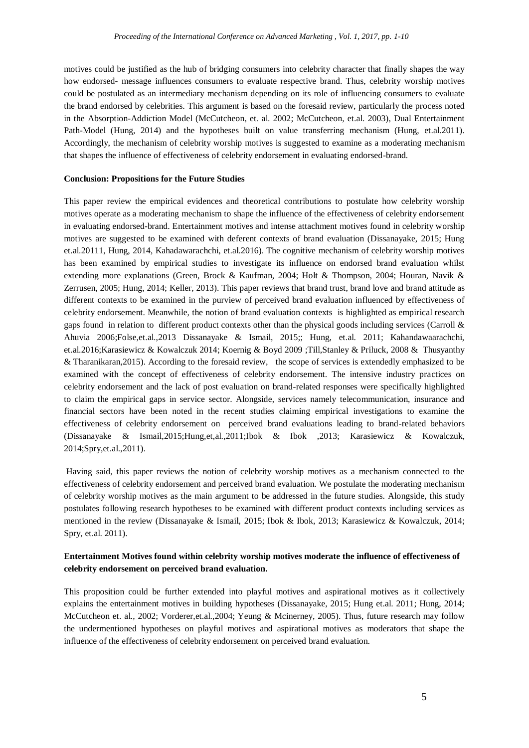motives could be justified as the hub of bridging consumers into celebrity character that finally shapes the way how endorsed- message influences consumers to evaluate respective brand. Thus, celebrity worship motives could be postulated as an intermediary mechanism depending on its role of influencing consumers to evaluate the brand endorsed by celebrities. This argument is based on the foresaid review, particularly the process noted in the Absorption-Addiction Model (McCutcheon, et. al. 2002; McCutcheon, et.al. 2003), Dual Entertainment Path-Model (Hung, 2014) and the hypotheses built on value transferring mechanism (Hung, et.al.2011). Accordingly, the mechanism of celebrity worship motives is suggested to examine as a moderating mechanism that shapes the influence of effectiveness of celebrity endorsement in evaluating endorsed-brand.

#### **Conclusion: Propositions for the Future Studies**

This paper review the empirical evidences and theoretical contributions to postulate how celebrity worship motives operate as a moderating mechanism to shape the influence of the effectiveness of celebrity endorsement in evaluating endorsed-brand. Entertainment motives and intense attachment motives found in celebrity worship motives are suggested to be examined with deferent contexts of brand evaluation (Dissanayake, 2015; Hung et.al.20111, Hung, 2014, Kahadawarachchi, et.al.2016). The cognitive mechanism of celebrity worship motives has been examined by empirical studies to investigate its influence on endorsed brand evaluation whilst extending more explanations (Green, Brock & Kaufman, 2004; Holt & Thompson, 2004; Houran, Navik & Zerrusen, 2005; Hung, 2014; Keller, 2013). This paper reviews that brand trust, brand love and brand attitude as different contexts to be examined in the purview of perceived brand evaluation influenced by effectiveness of celebrity endorsement. Meanwhile, the notion of brand evaluation contexts is highlighted as empirical research gaps found in relation to different product contexts other than the physical goods including services (Carroll & Ahuvia 2006;Folse,et.al.,2013 Dissanayake & Ismail, 2015;; Hung, et.al. 2011; Kahandawaarachchi, et.al.2016;Karasiewicz & Kowalczuk 2014; Koernig & Boyd 2009 ;Till,Stanley & Priluck, 2008 & Thusyanthy & Tharanikaran,2015). According to the foresaid review, the scope of services is extendedly emphasized to be examined with the concept of effectiveness of celebrity endorsement. The intensive industry practices on celebrity endorsement and the lack of post evaluation on brand-related responses were specifically highlighted to claim the empirical gaps in service sector. Alongside, services namely telecommunication, insurance and financial sectors have been noted in the recent studies claiming empirical investigations to examine the effectiveness of celebrity endorsement on perceived brand evaluations leading to brand-related behaviors (Dissanayake & Ismail,2015;Hung,et,al.,2011;Ibok & Ibok ,2013; Karasiewicz & Kowalczuk, 2014;Spry,et.al.,2011).

Having said, this paper reviews the notion of celebrity worship motives as a mechanism connected to the effectiveness of celebrity endorsement and perceived brand evaluation. We postulate the moderating mechanism of celebrity worship motives as the main argument to be addressed in the future studies. Alongside, this study postulates following research hypotheses to be examined with different product contexts including services as mentioned in the review (Dissanayake & Ismail, 2015; Ibok & Ibok, 2013; Karasiewicz & Kowalczuk, 2014; Spry, et.al. 2011).

# **Entertainment Motives found within celebrity worship motives moderate the influence of effectiveness of celebrity endorsement on perceived brand evaluation.**

This proposition could be further extended into playful motives and aspirational motives as it collectively explains the entertainment motives in building hypotheses (Dissanayake, 2015; Hung et.al. 2011; Hung, 2014; McCutcheon et. al., 2002; Vorderer,et.al.,2004; Yeung & Mcinerney, 2005). Thus, future research may follow the undermentioned hypotheses on playful motives and aspirational motives as moderators that shape the influence of the effectiveness of celebrity endorsement on perceived brand evaluation.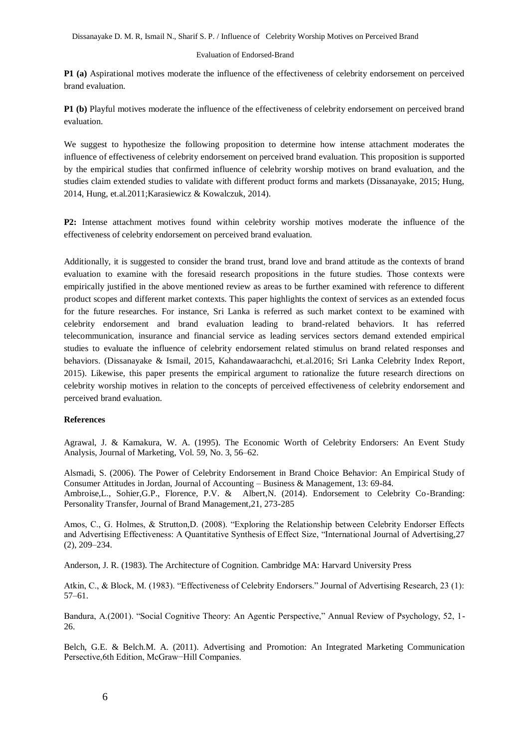Dissanayake D. M. R, Ismail N., Sharif S. P. / Influence of Celebrity Worship Motives on Perceived Brand

#### Evaluation of Endorsed-Brand

**P1 (a)** Aspirational motives moderate the influence of the effectiveness of celebrity endorsement on perceived brand evaluation.

**P1 (b)** Playful motives moderate the influence of the effectiveness of celebrity endorsement on perceived brand evaluation.

We suggest to hypothesize the following proposition to determine how intense attachment moderates the influence of effectiveness of celebrity endorsement on perceived brand evaluation. This proposition is supported by the empirical studies that confirmed influence of celebrity worship motives on brand evaluation, and the studies claim extended studies to validate with different product forms and markets (Dissanayake, 2015; Hung, 2014, Hung, et.al.2011;Karasiewicz & Kowalczuk, 2014).

**P2:** Intense attachment motives found within celebrity worship motives moderate the influence of the effectiveness of celebrity endorsement on perceived brand evaluation.

Additionally, it is suggested to consider the brand trust, brand love and brand attitude as the contexts of brand evaluation to examine with the foresaid research propositions in the future studies. Those contexts were empirically justified in the above mentioned review as areas to be further examined with reference to different product scopes and different market contexts. This paper highlights the context of services as an extended focus for the future researches. For instance, Sri Lanka is referred as such market context to be examined with celebrity endorsement and brand evaluation leading to brand-related behaviors. It has referred telecommunication, insurance and financial service as leading services sectors demand extended empirical studies to evaluate the influence of celebrity endorsement related stimulus on brand related responses and behaviors. (Dissanayake & Ismail, 2015, Kahandawaarachchi, et.al.2016; Sri Lanka Celebrity Index Report, 2015). Likewise, this paper presents the empirical argument to rationalize the future research directions on celebrity worship motives in relation to the concepts of perceived effectiveness of celebrity endorsement and perceived brand evaluation.

#### **References**

Agrawal, J. & Kamakura, W. A. (1995). The Economic Worth of Celebrity Endorsers: An Event Study Analysis, Journal of Marketing, Vol. 59, No. 3, 56–62.

Alsmadi, S. (2006). The Power of Celebrity Endorsement in Brand Choice Behavior: An Empirical Study of Consumer Attitudes in Jordan, Journal of Accounting – Business & Management, 13: 69-84. Ambroise, L., Sohier, G.P., Florence, P.V. & Albert, N. (2014). Endorsement to Celebrity Co-Branding: Personality Transfer, Journal of Brand Management,21, 273-285

Amos, C., G. Holmes, & Strutton,D. (2008). "Exploring the Relationship between Celebrity Endorser Effects and Advertising Effectiveness: A Quantitative Synthesis of Effect Size, "International Journal of Advertising,27 (2), 209–234.

Anderson, J. R. (1983). The Architecture of Cognition. Cambridge MA: Harvard University Press

Atkin, C., & Block, M. (1983). "Effectiveness of Celebrity Endorsers." Journal of Advertising Research, 23 (1): 57–61.

Bandura, A.(2001). "Social Cognitive Theory: An Agentic Perspective," Annual Review of Psychology, 52, 1- 26.

Belch, G.E. & Belch.M. A. (2011). Advertising and Promotion: An Integrated Marketing Communication Persective,6th Edition, McGraw−Hill Companies.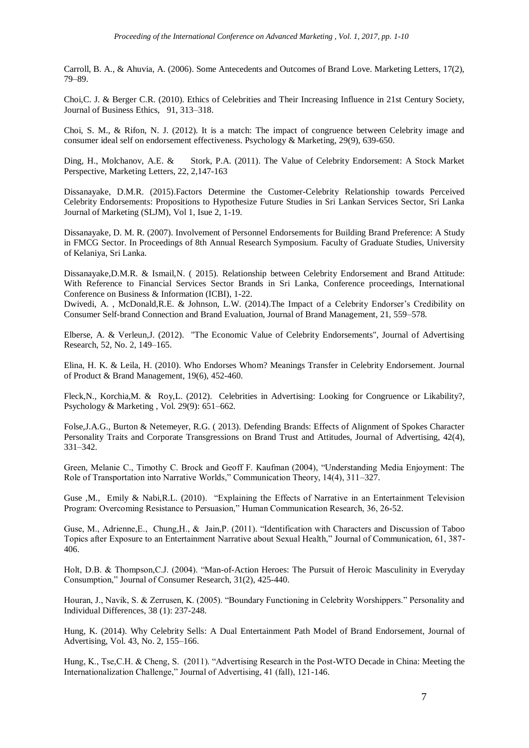Carroll, B. A., & Ahuvia, A. (2006). Some Antecedents and Outcomes of Brand Love. Marketing Letters, 17(2), 79–89.

Choi,C. J. & Berger C.R. (2010). Ethics of Celebrities and Their Increasing Influence in 21st Century Society, Journal of Business Ethics, 91, 313–318.

Choi, S. M., & Rifon, N. J. (2012). It is a match: The impact of congruence between Celebrity image and consumer ideal self on endorsement effectiveness. Psychology & Marketing, 29(9), 639-650.

Ding, H., Molchanov, A.E. & Stork, P.A. (2011). The Value of Celebrity Endorsement: A Stock Market Perspective, Marketing Letters, 22, 2,147-163

Dissanayake, D.M.R. (2015).Factors Determine the Customer-Celebrity Relationship towards Perceived Celebrity Endorsements: Propositions to Hypothesize Future Studies in Sri Lankan Services Sector, Sri Lanka Journal of Marketing (SLJM), Vol 1, Isue 2, 1-19.

Dissanayake, D. M. R. (2007). Involvement of Personnel Endorsements for Building Brand Preference: A Study in FMCG Sector. In Proceedings of 8th Annual Research Symposium. Faculty of Graduate Studies, University of Kelaniya, Sri Lanka.

Dissanayake,D.M.R. & Ismail,N. ( 2015). Relationship between Celebrity Endorsement and Brand Attitude: With Reference to Financial Services Sector Brands in Sri Lanka, Conference proceedings, International Conference on Business & Information (ICBI), 1-22.

Dwivedi, A. , McDonald,R.E. & Johnson, L.W. (2014).The Impact of a Celebrity Endorser's Credibility on Consumer Self-brand Connection and Brand Evaluation, Journal of Brand Management, 21, 559–578.

Elberse, A. & Verleun,J. (2012). "The Economic Value of Celebrity Endorsements", Journal of Advertising Research, 52, No. 2, 149–165.

Elina, H. K. & Leila, H. (2010). Who Endorses Whom? Meanings Transfer in Celebrity Endorsement. Journal of Product & Brand Management, 19(6), 452-460.

Fleck,N., Korchia,M. & Roy,L. (2012). Celebrities in Advertising: Looking for Congruence or Likability?, Psychology & Marketing , Vol. 29(9): 651–662.

Folse,J.A.G., Burton & Netemeyer, R.G. ( 2013). Defending Brands: Effects of Alignment of Spokes Character Personality Traits and Corporate Transgressions on Brand Trust and Attitudes, Journal of Advertising, 42(4), 331–342.

Green, Melanie C., Timothy C. Brock and Geoff F. Kaufman (2004), "Understanding Media Enjoyment: The Role of Transportation into Narrative Worlds," Communication Theory, 14(4), 311–327.

Guse ,M., Emily & Nabi,R.L. (2010). "Explaining the Effects of Narrative in an Entertainment Television Program: Overcoming Resistance to Persuasion," Human Communication Research, 36, 26-52.

Guse, M., Adrienne,E., Chung,H., & Jain,P. (2011). "Identification with Characters and Discussion of Taboo Topics after Exposure to an Entertainment Narrative about Sexual Health," Journal of Communication, 61, 387- 406.

Holt, D.B. & Thompson,C.J. (2004). "Man-of-Action Heroes: The Pursuit of Heroic Masculinity in Everyday Consumption," Journal of Consumer Research, 31(2), 425-440.

Houran, J., Navik, S. & Zerrusen, K. (2005). "Boundary Functioning in Celebrity Worshippers." Personality and Individual Differences, 38 (1): 237-248.

Hung, K. (2014). Why Celebrity Sells: A Dual Entertainment Path Model of Brand Endorsement, Journal of Advertising, Vol. 43, No. 2, 155–166.

Hung, K., Tse,C.H. & Cheng, S. (2011). "Advertising Research in the Post-WTO Decade in China: Meeting the Internationalization Challenge," Journal of Advertising, 41 (fall), 121-146.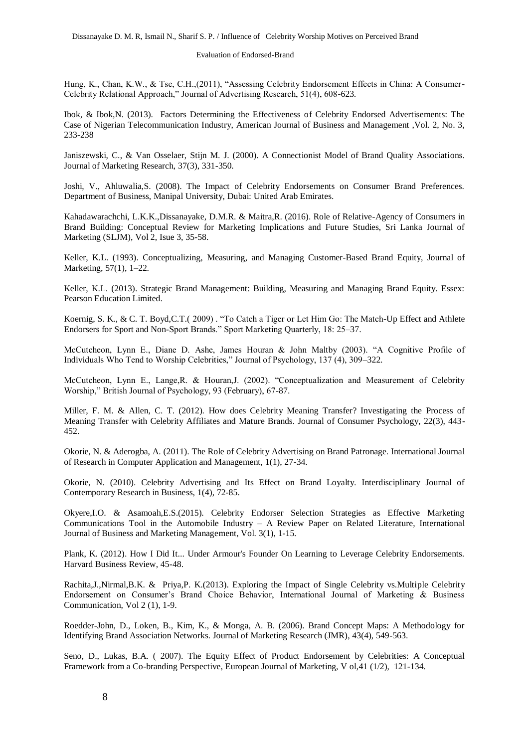Dissanayake D. M. R, Ismail N., Sharif S. P. / Influence of Celebrity Worship Motives on Perceived Brand

#### Evaluation of Endorsed-Brand

Hung, K., Chan, K.W., & Tse, C.H.,(2011), "Assessing Celebrity Endorsement Effects in China: A Consumer-Celebrity Relational Approach," Journal of Advertising Research, 51(4), 608-623.

Ibok, & Ibok,N. (2013). Factors Determining the Effectiveness of Celebrity Endorsed Advertisements: The Case of Nigerian Telecommunication Industry, American Journal of Business and Management ,Vol. 2, No. 3, 233-238

Janiszewski, C., & Van Osselaer, Stijn M. J. (2000). A Connectionist Model of Brand Quality Associations. Journal of Marketing Research, 37(3), 331-350.

Joshi, V., Ahluwalia,S. (2008). The Impact of Celebrity Endorsements on Consumer Brand Preferences. Department of Business, Manipal University, Dubai: United Arab Emirates.

Kahadawarachchi, L.K.K.,Dissanayake, D.M.R. & Maitra,R. (2016). Role of Relative-Agency of Consumers in Brand Building: Conceptual Review for Marketing Implications and Future Studies, Sri Lanka Journal of Marketing (SLJM), Vol 2, Isue 3, 35-58.

Keller, K.L. (1993). Conceptualizing, Measuring, and Managing Customer-Based Brand Equity, Journal of Marketing, 57(1), 1–22.

Keller, K.L. (2013). Strategic Brand Management: Building, Measuring and Managing Brand Equity. Essex: Pearson Education Limited.

Koernig, S. K., & C. T. Boyd,C.T.( 2009) . "To Catch a Tiger or Let Him Go: The Match-Up Effect and Athlete Endorsers for Sport and Non-Sport Brands." Sport Marketing Quarterly, 18: 25–37.

McCutcheon, Lynn E., Diane D. Ashe, James Houran & John Maltby (2003). "A Cognitive Profile of Individuals Who Tend to Worship Celebrities," Journal of Psychology, 137 (4), 309–322.

McCutcheon, Lynn E., Lange,R. & Houran,J. (2002). "Conceptualization and Measurement of Celebrity Worship," British Journal of Psychology, 93 (February), 67-87.

Miller, F. M. & Allen, C. T. (2012). How does Celebrity Meaning Transfer? Investigating the Process of Meaning Transfer with Celebrity Affiliates and Mature Brands. Journal of Consumer Psychology, 22(3), 443- 452.

Okorie, N. & Aderogba, A. (2011). The Role of Celebrity Advertising on Brand Patronage. International Journal of Research in Computer Application and Management, 1(1), 27-34.

Okorie, N. (2010). Celebrity Advertising and Its Effect on Brand Loyalty. Interdisciplinary Journal of Contemporary Research in Business, 1(4), 72-85.

Okyere,I.O. & Asamoah,E.S.(2015). Celebrity Endorser Selection Strategies as Effective Marketing Communications Tool in the Automobile Industry – A Review Paper on Related Literature, International Journal of Business and Marketing Management, Vol. 3(1), 1-15.

Plank, K. (2012). How I Did It... Under Armour's Founder On Learning to Leverage Celebrity Endorsements. Harvard Business Review, 45-48.

Rachita,J.,Nirmal,B.K. & Priya,P. K.(2013). Exploring the Impact of Single Celebrity vs.Multiple Celebrity Endorsement on Consumer's Brand Choice Behavior, International Journal of Marketing & Business Communication, Vol 2 (1), 1-9.

Roedder-John, D., Loken, B., Kim, K., & Monga, A. B. (2006). Brand Concept Maps: A Methodology for Identifying Brand Association Networks. Journal of Marketing Research (JMR), 43(4), 549-563.

Seno, D., Lukas, B.A. ( 2007). The Equity Effect of Product Endorsement by Celebrities: A Conceptual Framework from a Co-branding Perspective, European Journal of Marketing, V ol,41 (1/2), 121-134.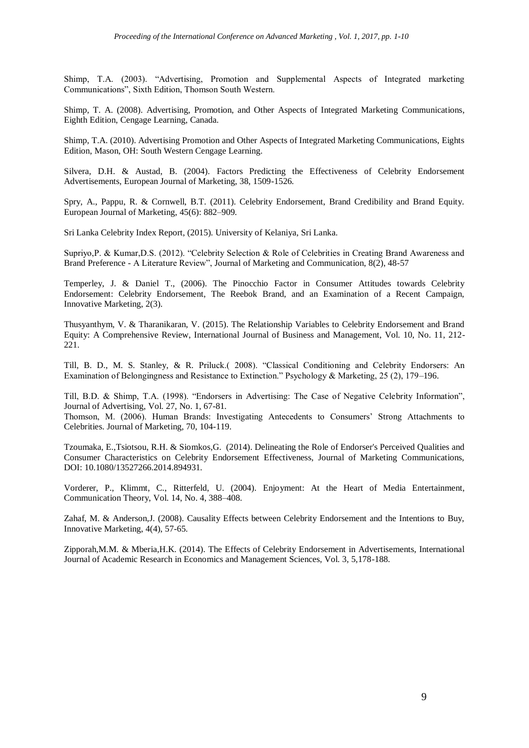Shimp, T.A. (2003). "Advertising, Promotion and Supplemental Aspects of Integrated marketing Communications", Sixth Edition, Thomson South Western.

Shimp, T. A. (2008). Advertising, Promotion, and Other Aspects of Integrated Marketing Communications, Eighth Edition, Cengage Learning, Canada.

Shimp, T.A. (2010). Advertising Promotion and Other Aspects of Integrated Marketing Communications, Eights Edition, Mason, OH: South Western Cengage Learning.

Silvera, D.H. & Austad, B. (2004). Factors Predicting the Effectiveness of Celebrity Endorsement Advertisements, European Journal of Marketing, 38, 1509-1526.

Spry, A., Pappu, R. & Cornwell, B.T. (2011). Celebrity Endorsement, Brand Credibility and Brand Equity. European Journal of Marketing, 45(6): 882–909.

Sri Lanka Celebrity Index Report, (2015). University of Kelaniya, Sri Lanka.

Supriyo,P. & Kumar,D.S. (2012). "Celebrity Selection & Role of Celebrities in Creating Brand Awareness and Brand Preference - A Literature Review", Journal of Marketing and Communication, 8(2), 48-57

Temperley, J. & Daniel T., (2006). The Pinocchio Factor in Consumer Attitudes towards Celebrity Endorsement: Celebrity Endorsement, The Reebok Brand, and an Examination of a Recent Campaign, Innovative Marketing, 2(3).

Thusyanthym, V. & Tharanikaran, V. (2015). The Relationship Variables to Celebrity Endorsement and Brand Equity: A Comprehensive Review, International Journal of Business and Management, Vol. 10, No. 11, 212- 221.

Till, B. D., M. S. Stanley, & R. Priluck.( 2008). "Classical Conditioning and Celebrity Endorsers: An Examination of Belongingness and Resistance to Extinction." Psychology & Marketing, 25 (2), 179–196.

Till, B.D. & Shimp, T.A. (1998). "Endorsers in Advertising: The Case of Negative Celebrity Information", Journal of Advertising, Vol. 27, No. 1, 67-81.

Thomson, M. (2006). Human Brands: Investigating Antecedents to Consumers' Strong Attachments to Celebrities. Journal of Marketing, 70, 104-119.

Tzoumaka, E.,Tsiotsou, R.H. & Siomkos,G. (2014). Delineating the Role of Endorser's Perceived Qualities and Consumer Characteristics on Celebrity Endorsement Effectiveness, Journal of Marketing Communications, DOI: 10.1080/13527266.2014.894931.

Vorderer, P., Klimmt, C., Ritterfeld, U. (2004). Enjoyment: At the Heart of Media Entertainment, Communication Theory, Vol. 14, No. 4, 388–408.

Zahaf, M. & Anderson,J. (2008). Causality Effects between Celebrity Endorsement and the Intentions to Buy, Innovative Marketing, 4(4), 57-65.

Zipporah,M.M. & Mberia,H.K. (2014). The Effects of Celebrity Endorsement in Advertisements, International Journal of Academic Research in Economics and Management Sciences, Vol. 3, 5,178-188.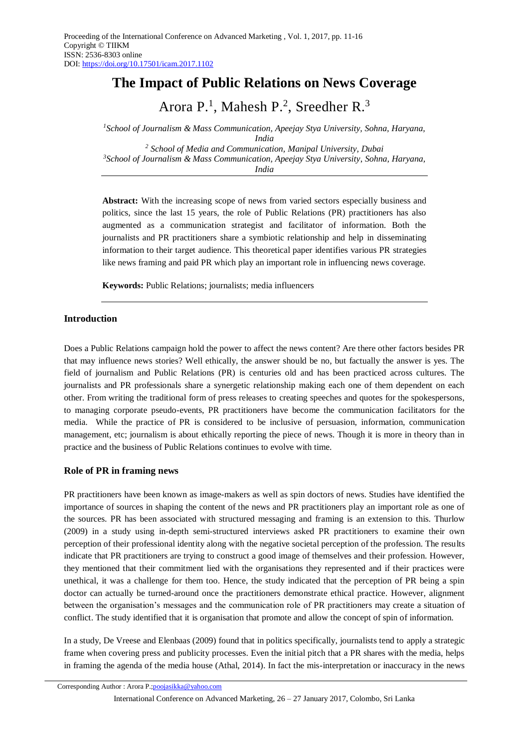# **The Impact of Public Relations on News Coverage**

# Arora P.<sup>1</sup>, Mahesh P.<sup>2</sup>, Sreedher R.<sup>3</sup>

*School of Journalism & Mass Communication, Apeejay Stya University, Sohna, Haryana, India School of Media and Communication, Manipal University, Dubai School of Journalism & Mass Communication, Apeejay Stya University*, *Sohna, Haryana,* 

*India* 

**Abstract:** With the increasing scope of news from varied sectors especially business and politics, since the last 15 years, the role of Public Relations (PR) practitioners has also augmented as a communication strategist and facilitator of information. Both the journalists and PR practitioners share a symbiotic relationship and help in disseminating information to their target audience. This theoretical paper identifies various PR strategies like news framing and paid PR which play an important role in influencing news coverage.

**Keywords:** Public Relations; journalists; media influencers

# **Introduction**

Does a Public Relations campaign hold the power to affect the news content? Are there other factors besides PR that may influence news stories? Well ethically, the answer should be no, but factually the answer is yes. The field of journalism and Public Relations (PR) is centuries old and has been practiced across cultures. The journalists and PR professionals share a synergetic relationship making each one of them dependent on each other. From writing the traditional form of press releases to creating speeches and quotes for the spokespersons, to managing corporate pseudo-events, PR practitioners have become the communication facilitators for the media. While the practice of PR is considered to be inclusive of persuasion, information, communication management, etc; journalism is about ethically reporting the piece of news. Though it is more in theory than in practice and the business of Public Relations continues to evolve with time.

# **Role of PR in framing news**

PR practitioners have been known as image-makers as well as spin doctors of news. Studies have identified the importance of sources in shaping the content of the news and PR practitioners play an important role as one of the sources. PR has been associated with structured messaging and framing is an extension to this. Thurlow (2009) in a study using in-depth semi-structured interviews asked PR practitioners to examine their own perception of their professional identity along with the negative societal perception of the profession. The results indicate that PR practitioners are trying to construct a good image of themselves and their profession. However, they mentioned that their commitment lied with the organisations they represented and if their practices were unethical, it was a challenge for them too. Hence, the study indicated that the perception of PR being a spin doctor can actually be turned-around once the practitioners demonstrate ethical practice. However, alignment between the organisation's messages and the communication role of PR practitioners may create a situation of conflict. The study identified that it is organisation that promote and allow the concept of spin of information.

In a study, De Vreese and Elenbaas (2009) found that in politics specifically, journalists tend to apply a strategic frame when covering press and publicity processes. Even the initial pitch that a PR shares with the media, helps in framing the agenda of the media house (Athal, 2014). In fact the mis-interpretation or inaccuracy in the news

International Conference on Advanced Marketing, 26 – 27 January 2017, Colombo, Sri Lanka

Corresponding Author : Arora P[.;poojasikka@yahoo.com](mailto:poojasikka@yahoo.com)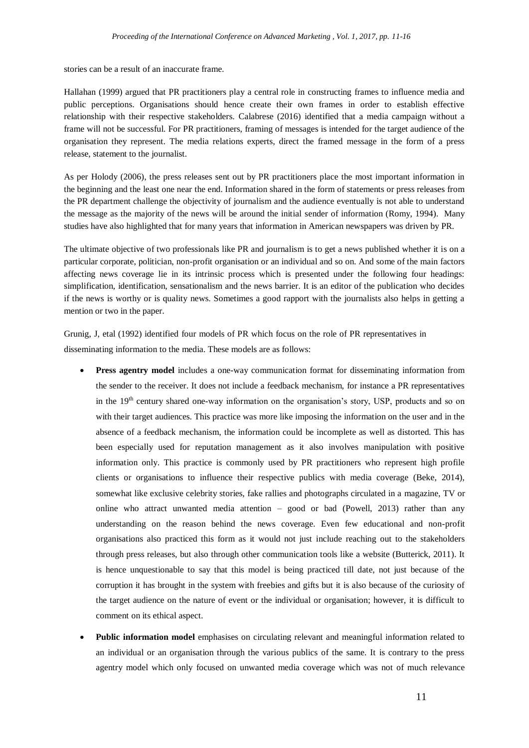stories can be a result of an inaccurate frame.

Hallahan (1999) argued that PR practitioners play a central role in constructing frames to influence media and public perceptions. Organisations should hence create their own frames in order to establish effective relationship with their respective stakeholders. Calabrese (2016) identified that a media campaign without a frame will not be successful. For PR practitioners, framing of messages is intended for the target audience of the organisation they represent. The media relations experts, direct the framed message in the form of a press release, statement to the journalist.

As per Holody (2006), the press releases sent out by PR practitioners place the most important information in the beginning and the least one near the end. Information shared in the form of statements or press releases from the PR department challenge the objectivity of journalism and the audience eventually is not able to understand the message as the majority of the news will be around the initial sender of information (Romy, 1994). Many studies have also highlighted that for many years that information in American newspapers was driven by PR.

The ultimate objective of two professionals like PR and journalism is to get a news published whether it is on a particular corporate, politician, non-profit organisation or an individual and so on. And some of the main factors affecting news coverage lie in its intrinsic process which is presented under the following four headings: simplification, identification, sensationalism and the news barrier. It is an editor of the publication who decides if the news is worthy or is quality news. Sometimes a good rapport with the journalists also helps in getting a mention or two in the paper.

Grunig, J, etal (1992) identified four models of PR which focus on the role of PR representatives in disseminating information to the media. These models are as follows:

- **Press agentry model** includes a one-way communication format for disseminating information from the sender to the receiver. It does not include a feedback mechanism, for instance a PR representatives in the 19<sup>th</sup> century shared one-way information on the organisation's story, USP, products and so on with their target audiences. This practice was more like imposing the information on the user and in the absence of a feedback mechanism, the information could be incomplete as well as distorted. This has been especially used for reputation management as it also involves manipulation with positive information only. This practice is commonly used by PR practitioners who represent high profile clients or organisations to influence their respective publics with media coverage (Beke, 2014), somewhat like exclusive celebrity stories, fake rallies and photographs circulated in a magazine, TV or online who attract unwanted media attention – good or bad (Powell, 2013) rather than any understanding on the reason behind the news coverage. Even few educational and non-profit organisations also practiced this form as it would not just include reaching out to the stakeholders through press releases, but also through other communication tools like a website (Butterick, 2011). It is hence unquestionable to say that this model is being practiced till date, not just because of the corruption it has brought in the system with freebies and gifts but it is also because of the curiosity of the target audience on the nature of event or the individual or organisation; however, it is difficult to comment on its ethical aspect.
- **Public information model** emphasises on circulating relevant and meaningful information related to an individual or an organisation through the various publics of the same. It is contrary to the press agentry model which only focused on unwanted media coverage which was not of much relevance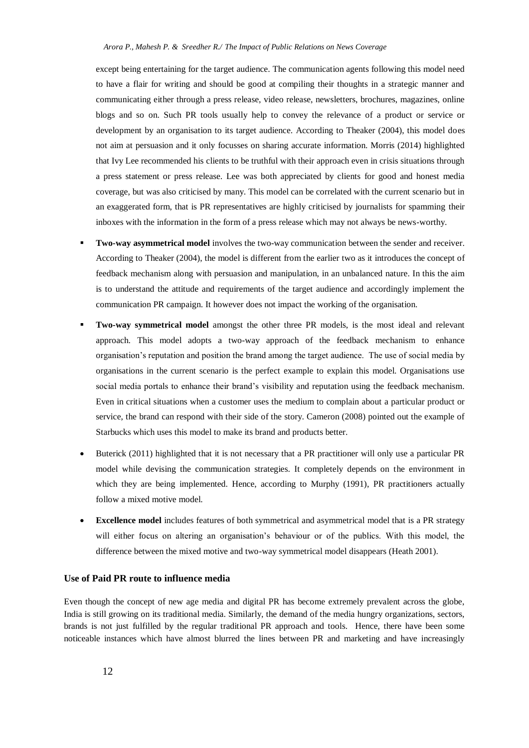except being entertaining for the target audience. The communication agents following this model need to have a flair for writing and should be good at compiling their thoughts in a strategic manner and communicating either through a press release, video release, newsletters, brochures, magazines, online blogs and so on. Such PR tools usually help to convey the relevance of a product or service or development by an organisation to its target audience. According to Theaker (2004), this model does not aim at persuasion and it only focusses on sharing accurate information. Morris (2014) highlighted that Ivy Lee recommended his clients to be truthful with their approach even in crisis situations through a press statement or press release. Lee was both appreciated by clients for good and honest media coverage, but was also criticised by many. This model can be correlated with the current scenario but in an exaggerated form, that is PR representatives are highly criticised by journalists for spamming their inboxes with the information in the form of a press release which may not always be news-worthy.

- **Two-way asymmetrical model** involves the two-way communication between the sender and receiver. According to Theaker (2004), the model is different from the earlier two as it introduces the concept of feedback mechanism along with persuasion and manipulation, in an unbalanced nature. In this the aim is to understand the attitude and requirements of the target audience and accordingly implement the communication PR campaign. It however does not impact the working of the organisation.
- **Two-way symmetrical model** amongst the other three PR models, is the most ideal and relevant approach. This model adopts a two-way approach of the feedback mechanism to enhance organisation's reputation and position the brand among the target audience. The use of social media by organisations in the current scenario is the perfect example to explain this model. Organisations use social media portals to enhance their brand's visibility and reputation using the feedback mechanism. Even in critical situations when a customer uses the medium to complain about a particular product or service, the brand can respond with their side of the story. Cameron (2008) pointed out the example of Starbucks which uses this model to make its brand and products better.
- Buterick (2011) highlighted that it is not necessary that a PR practitioner will only use a particular PR model while devising the communication strategies. It completely depends on the environment in which they are being implemented. Hence, according to Murphy (1991), PR practitioners actually follow a mixed motive model.
- **Excellence model** includes features of both symmetrical and asymmetrical model that is a PR strategy will either focus on altering an organisation's behaviour or of the publics. With this model, the difference between the mixed motive and two-way symmetrical model disappears (Heath 2001).

#### **Use of Paid PR route to influence media**

Even though the concept of new age media and digital PR has become extremely prevalent across the globe, India is still growing on its traditional media. Similarly, the demand of the media hungry organizations, sectors, brands is not just fulfilled by the regular traditional PR approach and tools. Hence, there have been some noticeable instances which have almost blurred the lines between PR and marketing and have increasingly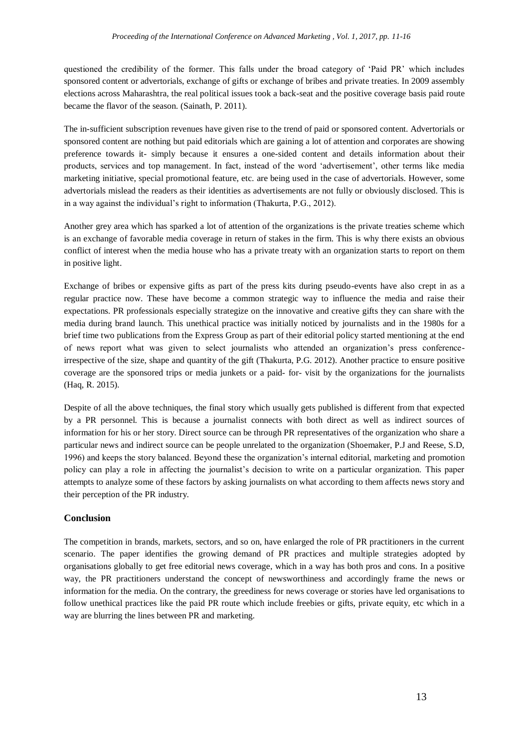questioned the credibility of the former. This falls under the broad category of 'Paid PR' which includes sponsored content or advertorials, exchange of gifts or exchange of bribes and private treaties. In 2009 assembly elections across Maharashtra, the real political issues took a back-seat and the positive coverage basis paid route became the flavor of the season. (Sainath, P. 2011).

The in-sufficient subscription revenues have given rise to the trend of paid or sponsored content. Advertorials or sponsored content are nothing but paid editorials which are gaining a lot of attention and corporates are showing preference towards it- simply because it ensures a one-sided content and details information about their products, services and top management. In fact, instead of the word 'advertisement', other terms like media marketing initiative, special promotional feature, etc. are being used in the case of advertorials. However, some advertorials mislead the readers as their identities as advertisements are not fully or obviously disclosed. This is in a way against the individual's right to information (Thakurta, P.G., 2012).

Another grey area which has sparked a lot of attention of the organizations is the private treaties scheme which is an exchange of favorable media coverage in return of stakes in the firm. This is why there exists an obvious conflict of interest when the media house who has a private treaty with an organization starts to report on them in positive light.

Exchange of bribes or expensive gifts as part of the press kits during pseudo-events have also crept in as a regular practice now. These have become a common strategic way to influence the media and raise their expectations. PR professionals especially strategize on the innovative and creative gifts they can share with the media during brand launch. This unethical practice was initially noticed by journalists and in the 1980s for a brief time two publications from the Express Group as part of their editorial policy started mentioning at the end of news report what was given to select journalists who attended an organization's press conferenceirrespective of the size, shape and quantity of the gift (Thakurta, P.G. 2012). Another practice to ensure positive coverage are the sponsored trips or media junkets or a paid- for- visit by the organizations for the journalists (Haq, R. 2015).

Despite of all the above techniques, the final story which usually gets published is different from that expected by a PR personnel. This is because a journalist connects with both direct as well as indirect sources of information for his or her story. Direct source can be through PR representatives of the organization who share a particular news and indirect source can be people unrelated to the organization (Shoemaker, P.J and Reese, S.D, 1996) and keeps the story balanced. Beyond these the organization's internal editorial, marketing and promotion policy can play a role in affecting the journalist's decision to write on a particular organization. This paper attempts to analyze some of these factors by asking journalists on what according to them affects news story and their perception of the PR industry.

# **Conclusion**

The competition in brands, markets, sectors, and so on, have enlarged the role of PR practitioners in the current scenario. The paper identifies the growing demand of PR practices and multiple strategies adopted by organisations globally to get free editorial news coverage, which in a way has both pros and cons. In a positive way, the PR practitioners understand the concept of newsworthiness and accordingly frame the news or information for the media. On the contrary, the greediness for news coverage or stories have led organisations to follow unethical practices like the paid PR route which include freebies or gifts, private equity, etc which in a way are blurring the lines between PR and marketing.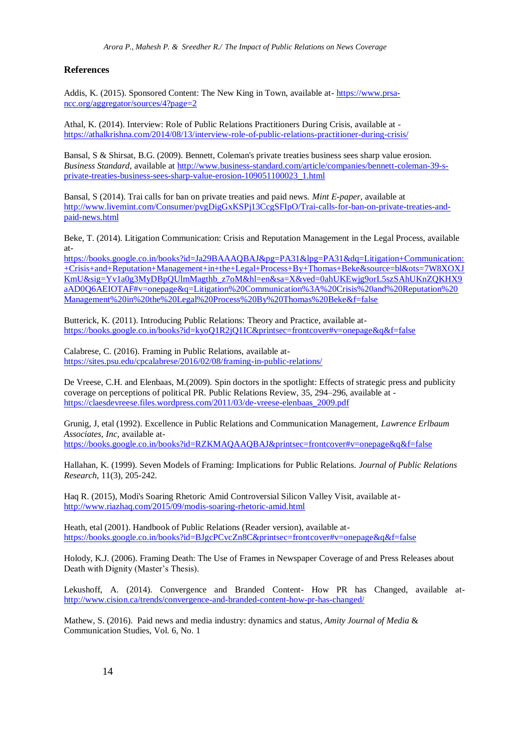#### **References**

Addis, K. (2015). Sponsored Content: The New King in Town, available at- [https://www.prsa](https://www.prsa-ncc.org/aggregator/sources/4?page=2)[ncc.org/aggregator/sources/4?page=2](https://www.prsa-ncc.org/aggregator/sources/4?page=2)

Athal, K. (2014). Interview: Role of Public Relations Practitioners During Crisis, available at <https://athalkrishna.com/2014/08/13/interview-role-of-public-relations-practitioner-during-crisis/>

Bansal, S & Shirsat, B.G. (2009). Bennett, Coleman's private treaties business sees sharp value erosion. *Business Standard*, available at [http://www.business-standard.com/article/companies/bennett-coleman-39-s](http://www.business-standard.com/article/companies/bennett-coleman-39-s-private-treaties-business-sees-sharp-value-erosion-109051100023_1.html)[private-treaties-business-sees-sharp-value-erosion-109051100023\\_1.html](http://www.business-standard.com/article/companies/bennett-coleman-39-s-private-treaties-business-sees-sharp-value-erosion-109051100023_1.html)

Bansal, S (2014). Trai calls for ban on private treaties and paid news. *Mint E-paper*, available at [http://www.livemint.com/Consumer/pvgDigGxKSPj13CcgSFIpO/Trai-calls-for-ban-on-private-treaties-and](http://www.livemint.com/Consumer/pvgDigGxKSPj13CcgSFIpO/Trai-calls-for-ban-on-private-treaties-and-paid-news.html)[paid-news.html](http://www.livemint.com/Consumer/pvgDigGxKSPj13CcgSFIpO/Trai-calls-for-ban-on-private-treaties-and-paid-news.html)

Beke, T. (2014). Litigation Communication: Crisis and Reputation Management in the Legal Process, available at-

https://books.google.co.in/books?id=Ja29BAAAOBAJ&pg=PA31&lpg=PA31&dq=Litigation+Communication: [+Crisis+and+Reputation+Management+in+the+Legal+Process+By+Thomas+Beke&source=bl&ots=7W8XOXJ](https://books.google.co.in/books?id=Ja29BAAAQBAJ&pg=PA31&lpg=PA31&dq=Litigation+Communication:+Crisis+and+Reputation+Management+in+the+Legal+Process+By+Thomas+Beke&source=bl&ots=7W8XOXJKmU&sig=Yv1a0g3MyDBpQUlmMagthb_z7oM&hl=en&sa=X&ved=0ahUKEwjg9orL5szSAhUKnZQKHX9aAD0Q6AEIOTAF#v=onepage&q=Litigation%20Communication%3A%20Crisis%20and%20Reputation%20Management%20in%20the%20Legal%20Process%20By%20Thomas%20Beke&f=false) [KmU&sig=Yv1a0g3MyDBpQUlmMagthb\\_z7oM&hl=en&sa=X&ved=0ahUKEwjg9orL5szSAhUKnZQKHX9](https://books.google.co.in/books?id=Ja29BAAAQBAJ&pg=PA31&lpg=PA31&dq=Litigation+Communication:+Crisis+and+Reputation+Management+in+the+Legal+Process+By+Thomas+Beke&source=bl&ots=7W8XOXJKmU&sig=Yv1a0g3MyDBpQUlmMagthb_z7oM&hl=en&sa=X&ved=0ahUKEwjg9orL5szSAhUKnZQKHX9aAD0Q6AEIOTAF#v=onepage&q=Litigation%20Communication%3A%20Crisis%20and%20Reputation%20Management%20in%20the%20Legal%20Process%20By%20Thomas%20Beke&f=false) [aAD0Q6AEIOTAF#v=onepage&q=Litigation%20Communication%3A%20Crisis%20and%20Reputation%20](https://books.google.co.in/books?id=Ja29BAAAQBAJ&pg=PA31&lpg=PA31&dq=Litigation+Communication:+Crisis+and+Reputation+Management+in+the+Legal+Process+By+Thomas+Beke&source=bl&ots=7W8XOXJKmU&sig=Yv1a0g3MyDBpQUlmMagthb_z7oM&hl=en&sa=X&ved=0ahUKEwjg9orL5szSAhUKnZQKHX9aAD0Q6AEIOTAF#v=onepage&q=Litigation%20Communication%3A%20Crisis%20and%20Reputation%20Management%20in%20the%20Legal%20Process%20By%20Thomas%20Beke&f=false) [Management%20in%20the%20Legal%20Process%20By%20Thomas%20Beke&f=false](https://books.google.co.in/books?id=Ja29BAAAQBAJ&pg=PA31&lpg=PA31&dq=Litigation+Communication:+Crisis+and+Reputation+Management+in+the+Legal+Process+By+Thomas+Beke&source=bl&ots=7W8XOXJKmU&sig=Yv1a0g3MyDBpQUlmMagthb_z7oM&hl=en&sa=X&ved=0ahUKEwjg9orL5szSAhUKnZQKHX9aAD0Q6AEIOTAF#v=onepage&q=Litigation%20Communication%3A%20Crisis%20and%20Reputation%20Management%20in%20the%20Legal%20Process%20By%20Thomas%20Beke&f=false)

Butterick, K. (2011). Introducing Public Relations: Theory and Practice, available at<https://books.google.co.in/books?id=kyoQ1R2jQ1IC&printsec=frontcover#v=onepage&q&f=false>

Calabrese, C. (2016). Framing in Public Relations, available at<https://sites.psu.edu/cpcalabrese/2016/02/08/framing-in-public-relations/>

De Vreese, C.H. and Elenbaas, M.(2009). Spin doctors in the spotlight: Effects of strategic press and publicity coverage on perceptions of political PR. Public Relations Review, 35, 294–296, available at [https://claesdevreese.files.wordpress.com/2011/03/de-vreese-elenbaas\\_2009.pdf](https://claesdevreese.files.wordpress.com/2011/03/de-vreese-elenbaas_2009.pdf)

Grunig, J, etal (1992). Excellence in Public Relations and Communication Management, *Lawrence Erlbaum Associates, Inc,* available at-

<https://books.google.co.in/books?id=RZKMAQAAQBAJ&printsec=frontcover#v=onepage&q&f=false>

Hallahan, K. (1999). Seven Models of Framing: Implications for Public Relations. *Journal of Public Relations Research*, 11(3), 205-242.

Haq R. (2015), Modi's Soaring Rhetoric Amid Controversial Silicon Valley Visit, available at<http://www.riazhaq.com/2015/09/modis-soaring-rhetoric-amid.html>

Heath, etal (2001). Handbook of Public Relations (Reader version), available at<https://books.google.co.in/books?id=BJgcPCvcZn8C&printsec=frontcover#v=onepage&q&f=false>

Holody, K.J. (2006). Framing Death: The Use of Frames in Newspaper Coverage of and Press Releases about Death with Dignity (Master's Thesis).

Lekushoff, A. (2014). Convergence and Branded Content- How PR has Changed, available at<http://www.cision.ca/trends/convergence-and-branded-content-how-pr-has-changed/>

Mathew, S. (2016). Paid news and media industry: dynamics and status, *Amity Journal of Media* & Communication Studies, Vol. 6, No. 1